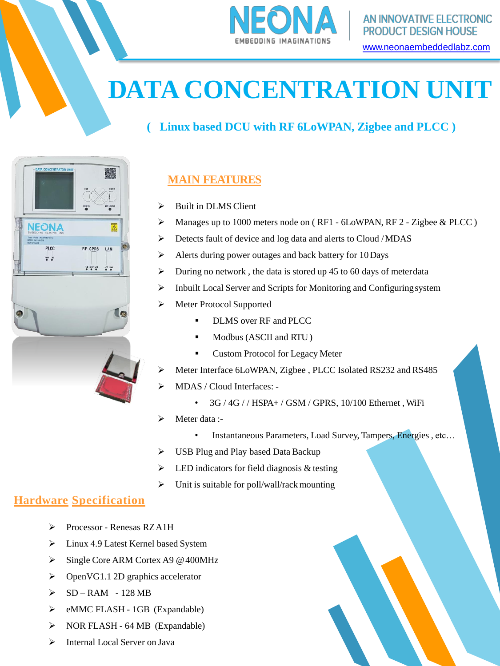

# **DATA CONCENTRATION UNIT**

#### **( Linux based DCU with RF 6LoWPAN, Zigbee and PLCC )**



#### **MAIN FEATURES**

- ➢ Built in DLMS Client
- ➢ Manages up to 1000 meters node on ( RF1 6LoWPAN, RF 2 Zigbee & PLCC )
- ➢ Detects fault of device and log data and alerts to Cloud /MDAS
- ➢ Alerts during power outages and back battery for 10Days
- ➢ During no network , the data is stored up 45 to 60 days of meterdata
- ➢ Inbuilt Local Server and Scripts for Monitoring and Configuringsystem
- ➢ Meter Protocol Supported
	- DLMS over RF and PLCC
	- Modbus (ASCII and RTU)
	- Custom Protocol for Legacy Meter
- ➢ Meter Interface 6LoWPAN, Zigbee , PLCC Isolated RS232 and RS485
- ➢ MDAS / Cloud Interfaces:
	- 3G / 4G / / HSPA+ / GSM / GPRS, 10/100 Ethernet , WiFi
- Meter data :-
	- Instantaneous Parameters, Load Survey, Tampers, Energies, etc...
- ➢ USB Plug and Play based Data Backup
- $\triangleright$  LED indicators for field diagnosis & testing
- $\triangleright$  Unit is suitable for poll/wall/rack mounting

#### **Hardware Specification**

- ➢ Processor Renesas RZA1H
- ➢ Linux 4.9 Latest Kernel based System
- ➢ Single Core ARM Cortex A9 @400MHz
- $\triangleright$  OpenVG1.1 2D graphics accelerator
- $\triangleright$  SD RAM 128 MB
- ➢ eMMC FLASH 1GB (Expandable)
- ➢ NOR FLASH 64 MB (Expandable)
- ➢ Internal Local Server on Java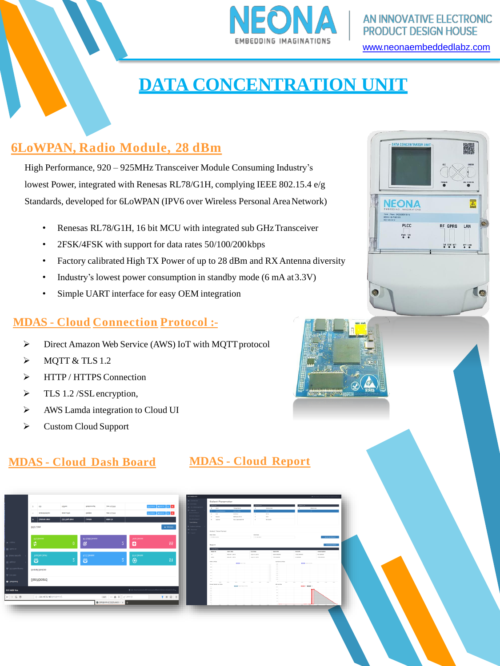

AN INNOVATIVE ELECTRONIC **PRODUCT DESIGN HOUSE** 

[www.neonaembeddedlabz.com](http://www.neonaembeddedlabz.com/)

## **DATA CONCENTRATION UNIT**

### **6LoWPAN, Radio Module, 28 dBm**

High Performance, 920 – 925MHz Transceiver Module Consuming Industry's lowest Power, integrated with Renesas RL78/G1H, complying IEEE 802.15.4 e/g Standards, developed for 6LoWPAN (IPV6 over Wireless Personal AreaNetwork)

- Renesas RL78/G1H, 16 bit MCU with integrated sub GHz Transceiver
- 2FSK/4FSK with support for data rates 50/100/200kbps
- Factory calibrated High TX Power of up to 28 dBm and RX Antenna diversity
- Industry's lowest power consumption in standby mode (6 mA at3.3V)
- Simple UART interface for easy OEM integration

#### **MDAS - Cloud Connection Protocol :-**

- ➢ Direct Amazon Web Service (AWS) IoT with MQTTprotocol
- $\triangleright$  MQTT & TLS 1.2
- ➢ HTTP / HTTPS Connection
- ➢ TLS 1.2 /SSLencryption,
- ➢ AWS Lamda integration to Cloud UI
- ➢ Custom Cloud Support

#### **MDAS - Cloud Dash Board MDAS - Cloud Report**

|                                       |                |                        |                                        |                                                                                                               |                                            | @ Dechbosed<br>C Live Data                    | Select Parameter<br><b>DOULIST</b> |                               | Device List       |                    |
|---------------------------------------|----------------|------------------------|----------------------------------------|---------------------------------------------------------------------------------------------------------------|--------------------------------------------|-----------------------------------------------|------------------------------------|-------------------------------|-------------------|--------------------|
| $\overline{2}$<br>ICD                 | <b>ICDTest</b> | Madhuranoyal           | June 14, 2018                          |                                                                                                               | <b>G'Ormed Cheboot</b><br>$\alpha$ $\beta$ | 5. DOUMERSHIPS                                | $\bullet$ eeu                      | <b>Thing Name</b>             | $\cdot$           | <b>ENVIOR LIST</b> |
| AsianUtilityExpo<br>$\overline{1}$    | sejeu nouuk    | Bangkok                | June 13, 2018                          |                                                                                                               | Comed   of Rebor<br>$\alpha$ $\beta$       | <b>B</b> Happen<br>restant Report             | - Акмендируную                     | 44441.4889                    |                   | PLOG<br><b>BEA</b> |
|                                       |                |                        |                                        |                                                                                                               |                                            |                                               | $2 - 100$<br>historia<br>$\sim$    | <b>RODTER</b><br>NEONALISCUS  | x<br>$\mathbf{a}$ | anu-               |
| Customer name<br>$\ddot{\phantom{a}}$ | DCU Thing Name | Location               | Mated On                               |                                                                                                               |                                            | <b>Monthly Report</b><br><b>Total Dilling</b> | $A$ . costed                       | test_Seycros574               | $\sim$            | <b>GE-DUMS</b>     |
| DCU Lists                             |                |                        |                                        |                                                                                                               | $+$ $\forall$ 99 DCA                       | <b>O</b> Restam Sattisms                      |                                    |                               |                   |                    |
|                                       |                |                        |                                        |                                                                                                               |                                            | <b>III</b> About the                          | Select Time Period                 |                               |                   |                    |
|                                       |                |                        |                                        |                                                                                                               |                                            | St. Logosl                                    | <b>Start Date</b>                  |                               | End Date          |                    |
| <b>RTU Devices</b>                    |                | <b>RF-DLMS Devices</b> |                                        | <b>Total Devices</b>                                                                                          |                                            |                                               | 01 March 2018                      |                               | 31.3.6 2018       |                    |
| Ŕ                                     | $\mathbf{0}$   | 必                      | $\sqrt{2}$                             | o                                                                                                             | 55                                         |                                               |                                    |                               |                   |                    |
|                                       |                |                        |                                        |                                                                                                               |                                            |                                               | Report<br>Telefibling              |                               |                   |                    |
|                                       |                |                        |                                        |                                                                                                               |                                            |                                               | Meter (D)                          | <b>Start Date</b>             | End Date          |                    |
| Total Deu Count                       |                | <b>PLCC Devices</b>    |                                        | <b>RF-A Devices</b>                                                                                           |                                            |                                               | 17                                 | March 1, 2019                 | July 31, 2018     | 8024.000000        |
|                                       | $\overline{2}$ |                        | $\sqrt{2}$                             |                                                                                                               | 51                                         |                                               | 4000                               | March 1, 2010                 | July 91, 2018     | 155,000000         |
| ₩                                     |                | ₩                      |                                        | $^{\circledR}$                                                                                                |                                            |                                               | Volt vs Time                       | <b>County</b> with the Prints |                   |                    |
|                                       |                |                        |                                        |                                                                                                               |                                            |                                               | <b>DOM: N</b>                      |                               |                   |                    |
| <b>Overall Devices</b>                |                |                        |                                        |                                                                                                               |                                            |                                               |                                    |                               |                   |                    |
|                                       |                |                        |                                        |                                                                                                               |                                            |                                               |                                    |                               |                   |                    |
|                                       |                |                        |                                        |                                                                                                               |                                            |                                               |                                    |                               |                   |                    |
|                                       |                |                        |                                        |                                                                                                               |                                            |                                               | <b>COL</b>                         |                               |                   |                    |
| Dashboard                             |                |                        |                                        |                                                                                                               |                                            |                                               | ren.<br>-                          |                               |                   |                    |
|                                       |                |                        |                                        |                                                                                                               |                                            |                                               | Power Factor vs Time               |                               |                   |                    |
|                                       |                |                        |                                        |                                                                                                               |                                            |                                               | $\sim$<br>$\sim$ $\sim$            | Present Position on Time      |                   |                    |
|                                       |                |                        |                                        | $\hat{\mathbf{a}}$ Helio admit, Smile & be happy and let that happiness spread everywhere you go $\mathbf{v}$ |                                            |                                               | 0.8                                |                               |                   |                    |
|                                       |                |                        |                                        |                                                                                                               |                                            |                                               |                                    |                               |                   |                    |
| 139.162.21.40/dashboard/              |                |                        | 70% … 图台 Q. Search                     |                                                                                                               |                                            |                                               | $-1.5$                             |                               |                   |                    |
|                                       |                |                        |                                        |                                                                                                               |                                            |                                               | 0.3.                               |                               |                   |                    |
|                                       |                |                        | <b>@</b> Dashboard   DCU Web A   X   + |                                                                                                               |                                            |                                               | 0.8.<br>$-0.3 -$                   |                               |                   |                    |
|                                       |                |                        |                                        |                                                                                                               |                                            |                                               | A.                                 |                               |                   |                    |